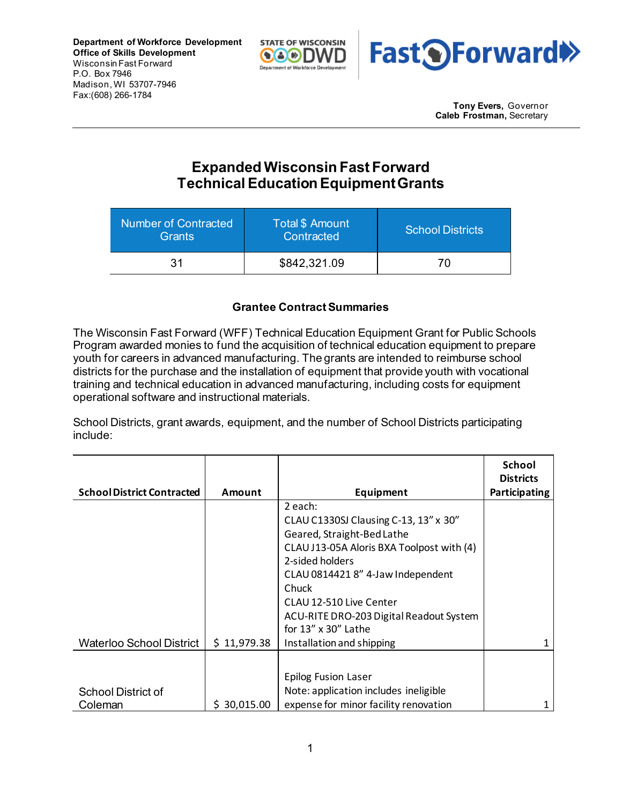



**Tony Evers,** Governor **Caleb Frostman,** Secretary

## **Expanded Wisconsin Fast Forward Technical EducationEquipment Grants**

| Number of Contracted<br><b>Grants</b> | Total \$ Amount<br>Contracted | <b>School Districts</b> |  |
|---------------------------------------|-------------------------------|-------------------------|--|
| 31                                    | \$842,321.09                  | 70                      |  |

## **Grantee Contract Summaries**

The Wisconsin Fast Forward (WFF) Technical Education Equipment Grant for Public Schools Program awarded monies to fund the acquisition of technical education equipment to prepare youth for careers in advanced manufacturing. The grants are intended to reimburse school districts for the purchase and the installation of equipment that provide youth with vocational training and technical education in advanced manufacturing, including costs for equipment operational software and instructional materials.

School Districts, grant awards, equipment, and the number of School Districts participating include:

|                                   |             |                                           | <b>School</b><br><b>Districts</b> |
|-----------------------------------|-------------|-------------------------------------------|-----------------------------------|
| <b>School District Contracted</b> | Amount      | Equipment                                 | Participating                     |
|                                   |             | 2 each:                                   |                                   |
|                                   |             | CLAU C1330SJ Clausing C-13, 13" x 30"     |                                   |
|                                   |             | Geared, Straight-Bed Lathe                |                                   |
|                                   |             | CLAU J13-05A Aloris BXA Toolpost with (4) |                                   |
|                                   |             | 2-sided holders                           |                                   |
|                                   |             | CLAU 0814421 8" 4-Jaw Independent         |                                   |
|                                   |             | Chuck                                     |                                   |
|                                   |             | CLAU 12-510 Live Center                   |                                   |
|                                   |             | ACU-RITE DRO-203 Digital Readout System   |                                   |
|                                   |             | for $13''$ x $30''$ Lathe                 |                                   |
| <b>Waterloo School District</b>   | \$11,979.38 | Installation and shipping                 |                                   |
|                                   |             |                                           |                                   |
|                                   |             | <b>Epilog Fusion Laser</b>                |                                   |
| <b>School District of</b>         |             | Note: application includes ineligible     |                                   |
| Coleman                           | \$30,015.00 | expense for minor facility renovation     |                                   |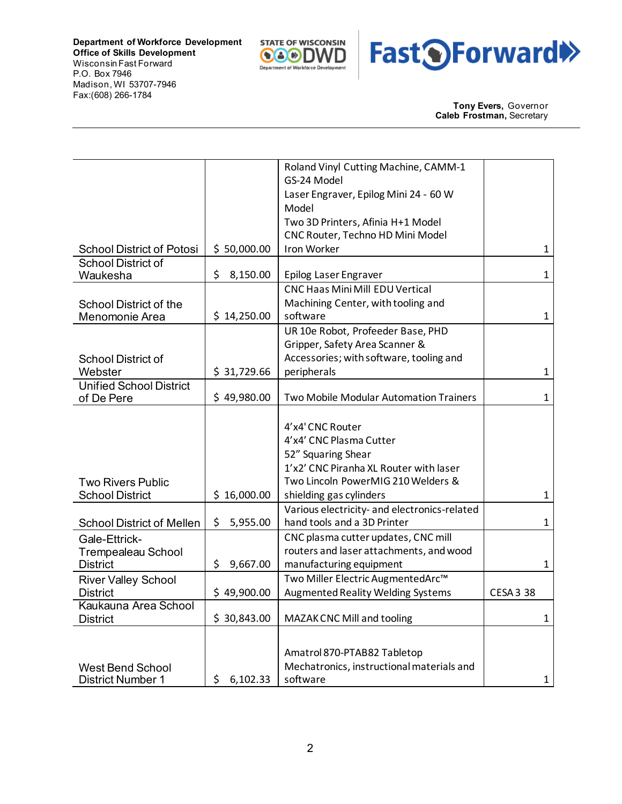



**Tony Evers,** Governor **Caleb Frostman,** Secretary

|                                  |                | Roland Vinyl Cutting Machine, CAMM-1         |                  |
|----------------------------------|----------------|----------------------------------------------|------------------|
|                                  |                | GS-24 Model                                  |                  |
|                                  |                | Laser Engraver, Epilog Mini 24 - 60 W        |                  |
|                                  |                | Model                                        |                  |
|                                  |                | Two 3D Printers, Afinia H+1 Model            |                  |
|                                  |                | CNC Router, Techno HD Mini Model             |                  |
| <b>School District of Potosi</b> | \$50,000.00    | <b>Iron Worker</b>                           | $\mathbf{1}$     |
| <b>School District of</b>        |                |                                              |                  |
| Waukesha                         | \$<br>8,150.00 | Epilog Laser Engraver                        | $\mathbf{1}$     |
|                                  |                | <b>CNC Haas Mini Mill EDU Vertical</b>       |                  |
| <b>School District of the</b>    |                | Machining Center, with tooling and           |                  |
| Menomonie Area                   | \$14,250.00    | software                                     | $\mathbf{1}$     |
|                                  |                | UR 10e Robot, Profeeder Base, PHD            |                  |
|                                  |                | Gripper, Safety Area Scanner &               |                  |
| <b>School District of</b>        |                | Accessories; with software, tooling and      |                  |
| Webster                          | \$31,729.66    | peripherals                                  | $\mathbf{1}$     |
| <b>Unified School District</b>   |                |                                              |                  |
| of De Pere                       | \$49,980.00    | Two Mobile Modular Automation Trainers       | $\mathbf{1}$     |
|                                  |                |                                              |                  |
|                                  |                | 4'x4' CNC Router                             |                  |
|                                  |                | 4'x4' CNC Plasma Cutter                      |                  |
|                                  |                | 52" Squaring Shear                           |                  |
|                                  |                | 1'x2' CNC Piranha XL Router with laser       |                  |
| <b>Two Rivers Public</b>         |                | Two Lincoln PowerMIG 210 Welders &           |                  |
| <b>School District</b>           | \$16,000.00    | shielding gas cylinders                      | $\mathbf{1}$     |
|                                  |                | Various electricity- and electronics-related |                  |
| <b>School District of Mellen</b> | \$<br>5,955.00 | hand tools and a 3D Printer                  | 1                |
| Gale-Ettrick-                    |                | CNC plasma cutter updates, CNC mill          |                  |
| <b>Trempealeau School</b>        |                | routers and laser attachments, and wood      |                  |
| <b>District</b>                  | \$<br>9,667.00 | manufacturing equipment                      | $\mathbf{1}$     |
| <b>River Valley School</b>       |                | Two Miller Electric AugmentedArc™            |                  |
| <b>District</b>                  | \$49,900.00    | <b>Augmented Reality Welding Systems</b>     | <b>CESA 3 38</b> |
| Kaukauna Area School             |                |                                              |                  |
| <b>District</b>                  | \$30,843.00    | MAZAK CNC Mill and tooling                   | 1                |
|                                  |                |                                              |                  |
|                                  |                |                                              |                  |
|                                  |                | Amatrol 870-PTAB82 Tabletop                  |                  |
| <b>West Bend School</b>          |                | Mechatronics, instructional materials and    |                  |
| <b>District Number 1</b>         | \$<br>6,102.33 | software                                     | $\mathbf{1}$     |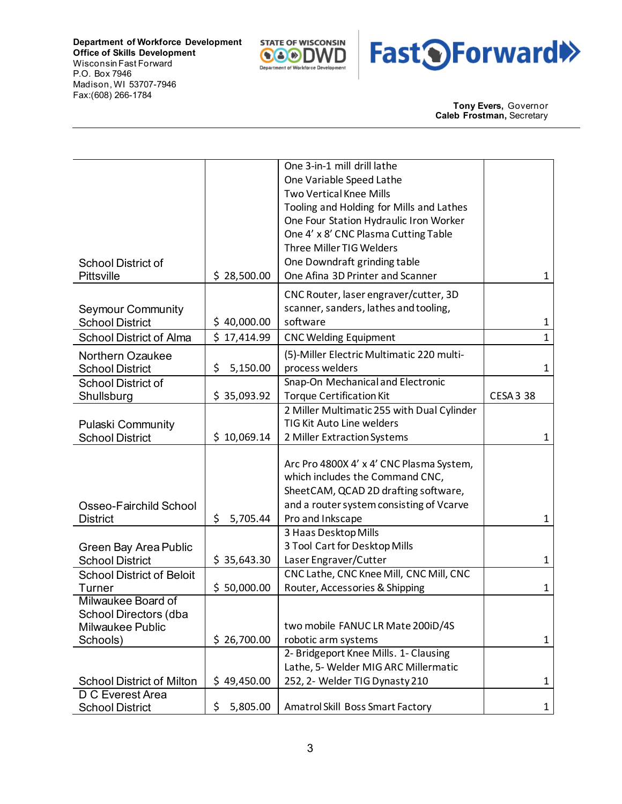



**Tony Evers,** Governor **Caleb Frostman,** Secretary

|                                           |                | One 3-in-1 mill drill lathe                                      |                  |
|-------------------------------------------|----------------|------------------------------------------------------------------|------------------|
|                                           |                | One Variable Speed Lathe                                         |                  |
|                                           |                | Two Vertical Knee Mills                                          |                  |
|                                           |                | Tooling and Holding for Mills and Lathes                         |                  |
|                                           |                | One Four Station Hydraulic Iron Worker                           |                  |
|                                           |                | One 4' x 8' CNC Plasma Cutting Table                             |                  |
|                                           |                | Three Miller TIG Welders                                         |                  |
| <b>School District of</b>                 |                | One Downdraft grinding table                                     |                  |
| <b>Pittsville</b>                         | \$28,500.00    | One Afina 3D Printer and Scanner                                 | 1                |
|                                           |                | CNC Router, laser engraver/cutter, 3D                            |                  |
| <b>Seymour Community</b>                  |                | scanner, sanders, lathes and tooling,                            |                  |
| <b>School District</b>                    | \$40,000.00    | software                                                         | 1                |
| <b>School District of Alma</b>            | \$17,414.99    | <b>CNC Welding Equipment</b>                                     | 1                |
| <b>Northern Ozaukee</b>                   |                | (5)-Miller Electric Multimatic 220 multi-                        |                  |
| <b>School District</b>                    | \$<br>5,150.00 | process welders                                                  | $\mathbf{1}$     |
| <b>School District of</b>                 |                | Snap-On Mechanical and Electronic                                |                  |
| Shullsburg                                | \$35,093.92    | <b>Torque Certification Kit</b>                                  | <b>CESA 3 38</b> |
|                                           |                | 2 Miller Multimatic 255 with Dual Cylinder                       |                  |
| <b>Pulaski Community</b>                  |                | TIG Kit Auto Line welders                                        |                  |
| <b>School District</b>                    | \$10,069.14    | 2 Miller Extraction Systems                                      | 1                |
|                                           |                |                                                                  |                  |
|                                           |                | Arc Pro 4800X 4' x 4' CNC Plasma System,                         |                  |
|                                           |                | which includes the Command CNC,                                  |                  |
|                                           |                | SheetCAM, QCAD 2D drafting software,                             |                  |
|                                           |                | and a router system consisting of Vcarve                         |                  |
| Osseo-Fairchild School<br><b>District</b> | \$<br>5,705.44 | Pro and Inkscape                                                 | 1                |
|                                           |                | 3 Haas Desktop Mills                                             |                  |
|                                           |                | 3 Tool Cart for Desktop Mills                                    |                  |
| Green Bay Area Public                     |                |                                                                  |                  |
| <b>School District</b>                    | \$35,643.30    | Laser Engraver/Cutter<br>CNC Lathe, CNC Knee Mill, CNC Mill, CNC | 1                |
| <b>School District of Beloit</b>          |                | Router, Accessories & Shipping                                   |                  |
| Turner<br>Milwaukee Board of              | \$50,000.00    |                                                                  | $\mathbf{1}$     |
| School Directors (dba                     |                |                                                                  |                  |
| Milwaukee Public                          |                | two mobile FANUC LR Mate 200iD/4S                                |                  |
| Schools)                                  | \$26,700.00    | robotic arm systems                                              | 1                |
|                                           |                | 2- Bridgeport Knee Mills. 1- Clausing                            |                  |
|                                           |                | Lathe, 5- Welder MIG ARC Millermatic                             |                  |
| <b>School District of Milton</b>          | \$49,450.00    | 252, 2- Welder TIG Dynasty 210                                   | $\mathbf{1}$     |
| D C Everest Area                          |                |                                                                  |                  |
| <b>School District</b>                    | \$<br>5,805.00 | Amatrol Skill Boss Smart Factory                                 | $\mathbf{1}$     |
|                                           |                |                                                                  |                  |